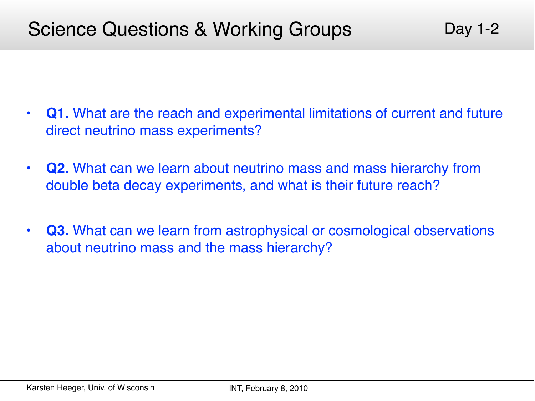- **Q1.** What are the reach and experimental limitations of current and future direct neutrino mass experiments?
- **Q2.** What can we learn about neutrino mass and mass hierarchy from double beta decay experiments, and what is their future reach?
- **Q3.** What can we learn from astrophysical or cosmological observations about neutrino mass and the mass hierarchy?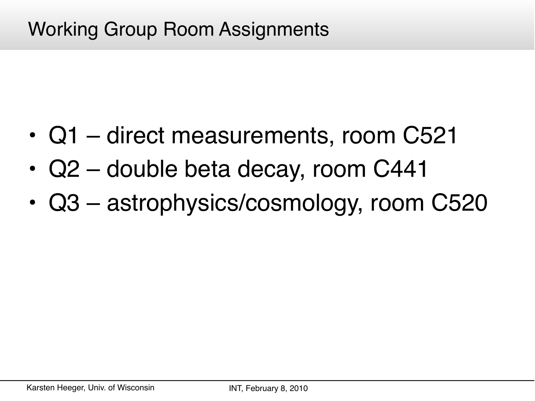# Working Group Room Assignments

- Q1 direct measurements, room C521
- Q2 double beta decay, room C441
- Q3 astrophysics/cosmology, room C520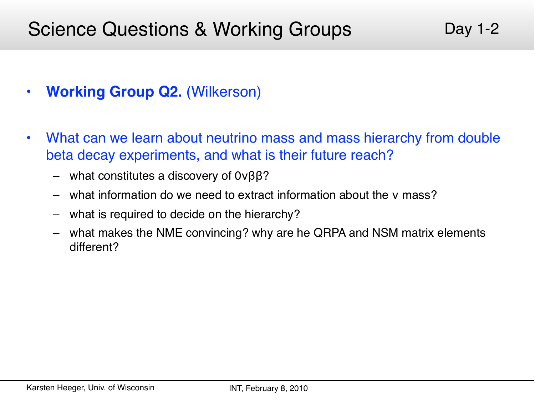- **Working Group Q2.** (Wilkerson)
- What can we learn about neutrino mass and mass hierarchy from double beta decay experiments, and what is their future reach?
	- what constitutes a discovery of 0νββ?
	- what information do we need to extract information about the ν mass?
	- what is required to decide on the hierarchy?
	- what makes the NME convincing? why are he QRPA and NSM matrix elements different?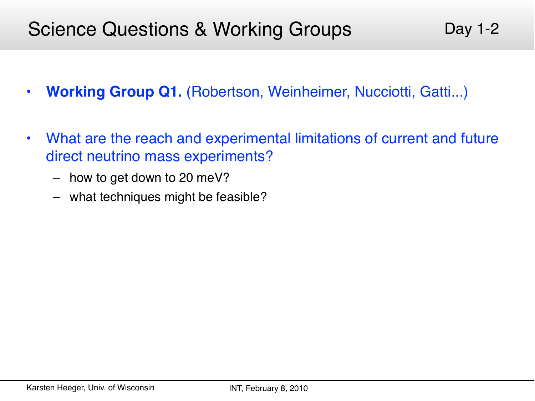- **Working Group Q1.** (Robertson, Weinheimer, Nucciotti, Gatti...)
- What are the reach and experimental limitations of current and future direct neutrino mass experiments?
	- how to get down to 20 meV?
	- what techniques might be feasible?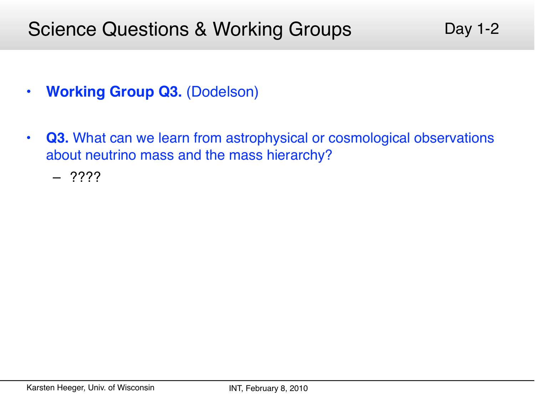Day 1-2

- **Working Group Q3.** (Dodelson)
- **Q3.** What can we learn from astrophysical or cosmological observations about neutrino mass and the mass hierarchy?
	- ????